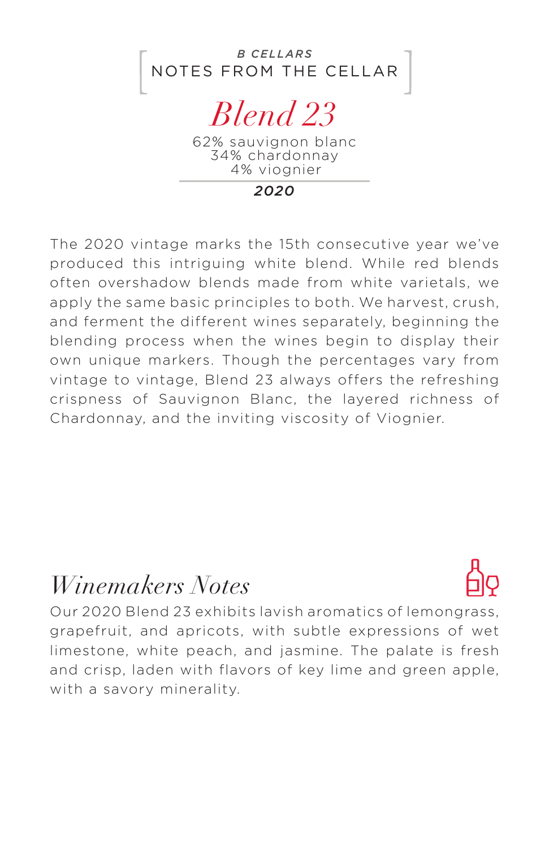

34% chardonnay 4% viognier

*2020*

The 2020 vintage marks the 15th consecutive year we've produced this intriguing white blend. While red blends often overshadow blends made from white varietals, we apply the same basic principles to both. We harvest, crush, and ferment the different wines separately, beginning the blending process when the wines begin to display their own unique markers. Though the percentages vary from vintage to vintage, Blend 23 always offers the refreshing crispness of Sauvignon Blanc, the layered richness of Chardonnay, and the inviting viscosity of Viognier.

## *Winemakers Notes*



Our 2020 Blend 23 exhibits lavish aromatics of lemongrass, grapefruit, and apricots, with subtle expressions of wet limestone, white peach, and jasmine. The palate is fresh and crisp, laden with flavors of key lime and green apple, with a savory minerality.